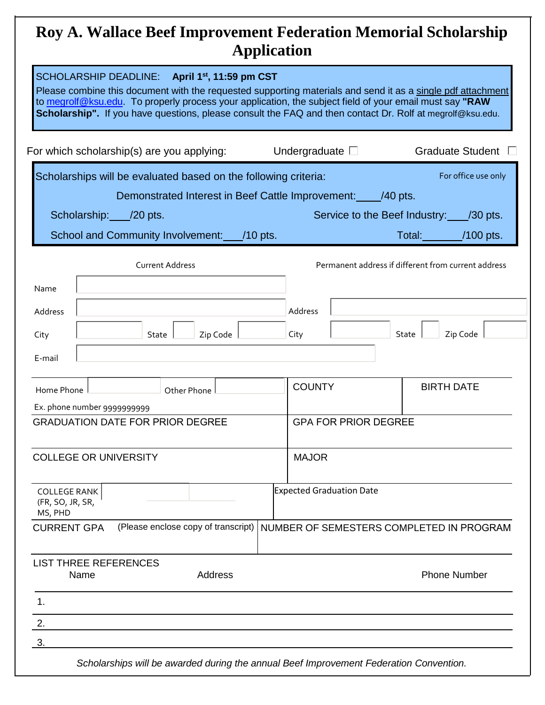## **Roy A. Wallace Beef Improvement Federation Memorial Scholarship Application**

| SCHOLARSHIP DEADLINE: April 1st, 11:59 pm CST<br>Please combine this document with the requested supporting materials and send it as a single pdf attachment<br>to megrolf@ksu.edu. To properly process your application, the subject field of your email must say "RAW<br>Scholarship". If you have questions, please consult the FAQ and then contact Dr. Rolf at megrolf@ksu.edu. |                                          |                                                                                    |  |
|--------------------------------------------------------------------------------------------------------------------------------------------------------------------------------------------------------------------------------------------------------------------------------------------------------------------------------------------------------------------------------------|------------------------------------------|------------------------------------------------------------------------------------|--|
| For which scholarship(s) are you applying:                                                                                                                                                                                                                                                                                                                                           | Undergraduate $\square$                  | Graduate Student $\square$                                                         |  |
| Scholarships will be evaluated based on the following criteria:<br>Demonstrated Interest in Beef Cattle Improvement: 140 pts.<br>Scholarship: /20 pts.<br>School and Community Involvement: /10 pts.                                                                                                                                                                                 |                                          | For office use only<br>Service to the Beef Industry: /30 pts.<br>Total: //100 pts. |  |
| <b>Current Address</b><br>Name                                                                                                                                                                                                                                                                                                                                                       |                                          | Permanent address if different from current address                                |  |
| Address                                                                                                                                                                                                                                                                                                                                                                              | Address                                  |                                                                                    |  |
| Zip Code<br>City<br>State                                                                                                                                                                                                                                                                                                                                                            | City                                     | State<br>Zip Code                                                                  |  |
| E-mail                                                                                                                                                                                                                                                                                                                                                                               |                                          |                                                                                    |  |
| Home Phone<br>Other Phone                                                                                                                                                                                                                                                                                                                                                            | <b>COUNTY</b>                            | <b>BIRTH DATE</b>                                                                  |  |
| Ex. phone number 9999999999                                                                                                                                                                                                                                                                                                                                                          |                                          |                                                                                    |  |
| <b>GRADUATION DATE FOR PRIOR DEGREE</b>                                                                                                                                                                                                                                                                                                                                              | <b>GPA FOR PRIOR DEGREE</b>              |                                                                                    |  |
| <b>COLLEGE OR UNIVERSITY</b>                                                                                                                                                                                                                                                                                                                                                         | <b>MAJOR</b>                             |                                                                                    |  |
| <b>COLLEGE RANK</b><br>(FR, SO, JR, SR,<br>MS, PHD                                                                                                                                                                                                                                                                                                                                   | <b>Expected Graduation Date</b>          |                                                                                    |  |
| (Please enclose copy of transcript)<br><b>CURRENT GPA</b>                                                                                                                                                                                                                                                                                                                            | NUMBER OF SEMESTERS COMPLETED IN PROGRAM |                                                                                    |  |
| <b>LIST THREE REFERENCES</b><br>Name<br>Address                                                                                                                                                                                                                                                                                                                                      |                                          | <b>Phone Number</b>                                                                |  |
| 1.                                                                                                                                                                                                                                                                                                                                                                                   |                                          |                                                                                    |  |
| 2.<br>3.                                                                                                                                                                                                                                                                                                                                                                             |                                          |                                                                                    |  |
| Scholarships will be awarded during the annual Beef Improvement Federation Convention.                                                                                                                                                                                                                                                                                               |                                          |                                                                                    |  |